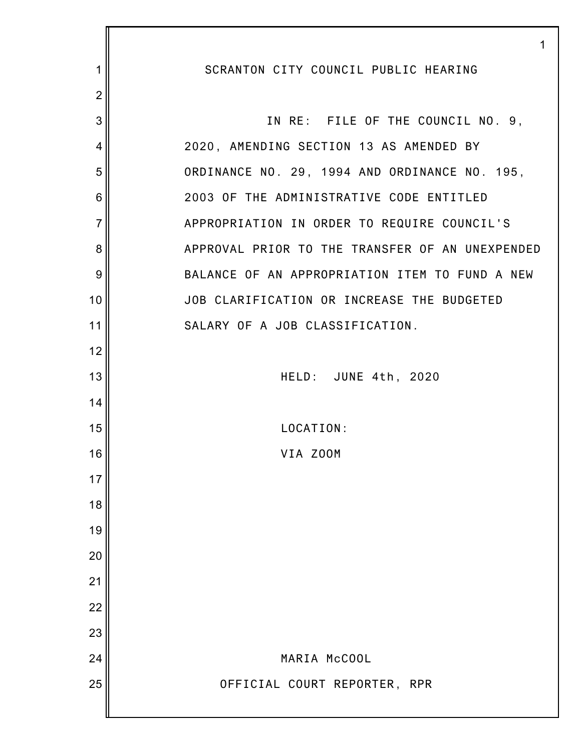|                 | 1                                               |
|-----------------|-------------------------------------------------|
| 1               | SCRANTON CITY COUNCIL PUBLIC HEARING            |
| $\overline{2}$  |                                                 |
| 3               | IN RE: FILE OF THE COUNCIL NO. 9,               |
| 4               | 2020, AMENDING SECTION 13 AS AMENDED BY         |
| 5               | ORDINANCE NO. 29, 1994 AND ORDINANCE NO. 195,   |
| $6\phantom{1}6$ | 2003 OF THE ADMINISTRATIVE CODE ENTITLED        |
| $\overline{7}$  | APPROPRIATION IN ORDER TO REQUIRE COUNCIL'S     |
| 8               | APPROVAL PRIOR TO THE TRANSFER OF AN UNEXPENDED |
| $9\,$           | BALANCE OF AN APPROPRIATION ITEM TO FUND A NEW  |
| 10              | JOB CLARIFICATION OR INCREASE THE BUDGETED      |
| 11              | SALARY OF A JOB CLASSIFICATION.                 |
| 12              |                                                 |
| 13              | HELD: JUNE 4th, 2020                            |
| 14              |                                                 |
| 15              | LOCATION:                                       |
| 16              | VIA ZOOM                                        |
| 17              |                                                 |
| 18              |                                                 |
| 19              |                                                 |
| 20              |                                                 |
| 21              |                                                 |
| 22              |                                                 |
| 23              |                                                 |
| 24              | MARIA McCOOL                                    |
| 25              | OFFICIAL COURT REPORTER, RPR                    |
|                 |                                                 |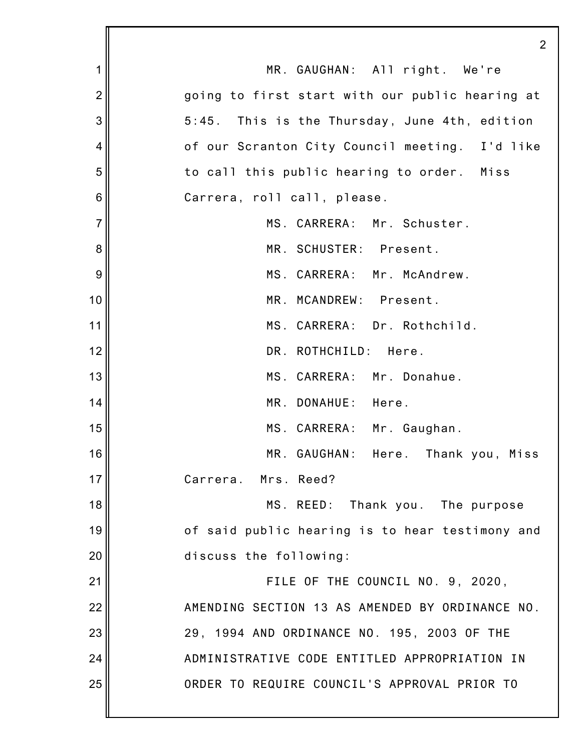|                | $\overline{2}$                                  |
|----------------|-------------------------------------------------|
| 1              | MR. GAUGHAN: All right. We're                   |
| $\overline{2}$ | going to first start with our public hearing at |
| 3              | 5:45. This is the Thursday, June 4th, edition   |
| 4              | of our Scranton City Council meeting. I'd like  |
| 5              | to call this public hearing to order. Miss      |
| 6              | Carrera, roll call, please.                     |
| $\overline{7}$ | MS. CARRERA: Mr. Schuster.                      |
| 8              | MR. SCHUSTER: Present.                          |
| 9              | MS. CARRERA: Mr. McAndrew.                      |
| 10             | MR. MCANDREW: Present.                          |
| 11             | MS. CARRERA: Dr. Rothchild.                     |
| 12             | DR. ROTHCHILD: Here.                            |
| 13             | MS. CARRERA: Mr. Donahue.                       |
| 14             | MR. DONAHUE: Here.                              |
| 15             | MS. CARRERA: Mr. Gaughan.                       |
| 16             | MR. GAUGHAN: Here. Thank you, Miss              |
| 17             | Carrera. Mrs. Reed?                             |
| 18             | MS. REED: Thank you. The purpose                |
| 19             | of said public hearing is to hear testimony and |
| 20             | discuss the following:                          |
| 21             | FILE OF THE COUNCIL NO. 9, 2020,                |
| 22             | AMENDING SECTION 13 AS AMENDED BY ORDINANCE NO. |
| 23             | 29, 1994 AND ORDINANCE NO. 195, 2003 OF THE     |
| 24             | ADMINISTRATIVE CODE ENTITLED APPROPRIATION IN   |
| 25             | ORDER TO REQUIRE COUNCIL'S APPROVAL PRIOR TO    |
|                |                                                 |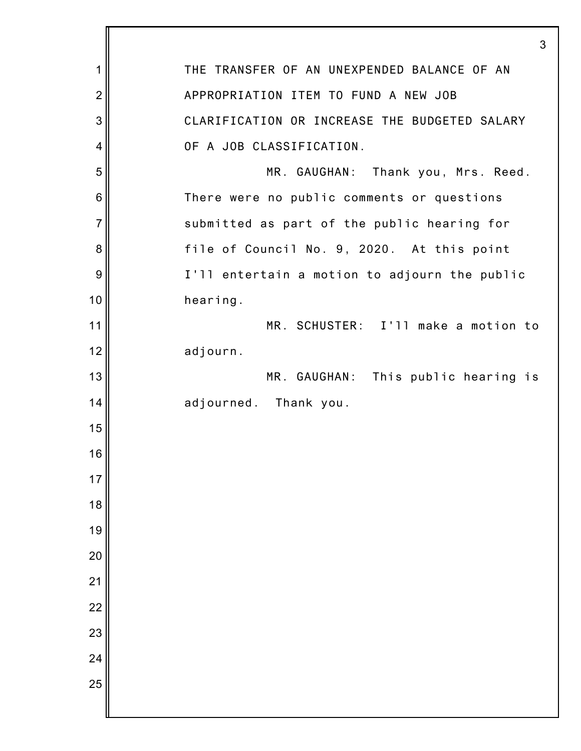|                | 3                                             |
|----------------|-----------------------------------------------|
| 1              | THE TRANSFER OF AN UNEXPENDED BALANCE OF AN   |
| $\overline{2}$ | APPROPRIATION ITEM TO FUND A NEW JOB          |
| 3              | CLARIFICATION OR INCREASE THE BUDGETED SALARY |
| 4              | OF A JOB CLASSIFICATION.                      |
| 5              | MR. GAUGHAN: Thank you, Mrs. Reed.            |
| 6              | There were no public comments or questions    |
| $\overline{7}$ | submitted as part of the public hearing for   |
| 8              | file of Council No. 9, 2020. At this point    |
| 9              | I'll entertain a motion to adjourn the public |
| 10             | hearing.                                      |
| 11             | MR. SCHUSTER: I'll make a motion to           |
| 12             | adjourn.                                      |
| 13             | MR. GAUGHAN: This public hearing is           |
| 14             | adjourned. Thank you.                         |
| 15             |                                               |
| 16             |                                               |
| 17             |                                               |
| 18             |                                               |
| 19             |                                               |
| 20             |                                               |
| 21             |                                               |
| 22             |                                               |
| 23             |                                               |
| 24             |                                               |
| 25             |                                               |
|                |                                               |